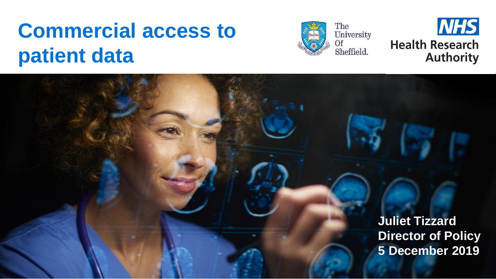## **Commercial access to patient data**





**Juliet Tizzard Director of Policy 5 December 2019**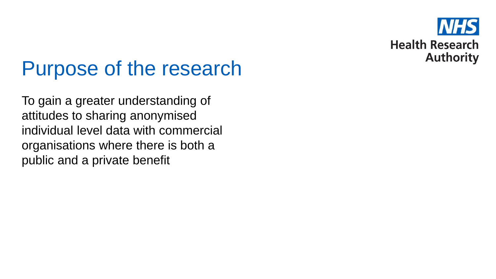

#### Purpose of the research

To gain a greater understanding of attitudes to sharing anonymised individual level data with commercial organisations where there is both a public and a private benefit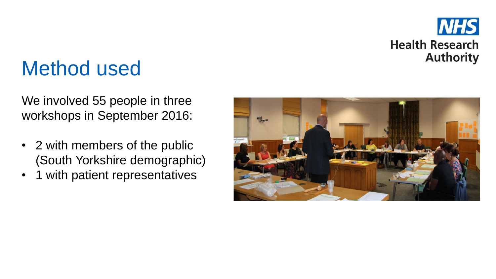

#### Method used

We involved 55 people in three workshops in September 2016:

- 2 with members of the public (South Yorkshire demographic)
- 1 with patient representatives

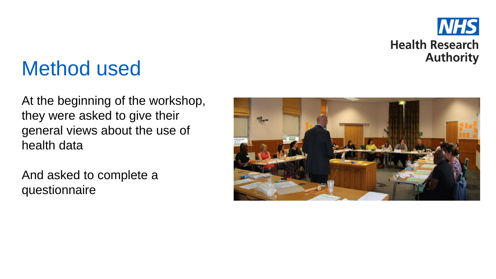

#### Method used

At the beginning of the workshop, they were asked to give their general views about the use of health data

And asked to complete a questionnaire

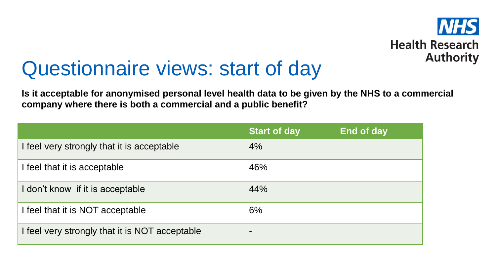

#### Questionnaire views: start of day

**Is it acceptable for anonymised personal level health data to be given by the NHS to a commercial company where there is both a commercial and a public benefit?**

|                                                | <b>Start of day</b>      | End of day |
|------------------------------------------------|--------------------------|------------|
| I feel very strongly that it is acceptable     | 4%                       |            |
| I feel that it is acceptable                   | 46%                      |            |
| I don't know if it is acceptable               | 44%                      |            |
| I feel that it is NOT acceptable               | 6%                       |            |
| I feel very strongly that it is NOT acceptable | $\overline{\phantom{a}}$ |            |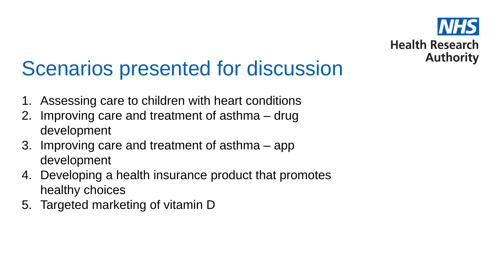

## Scenarios presented for discussion

- 1. Assessing care to children with heart conditions
- 2. Improving care and treatment of asthma drug development
- 3. Improving care and treatment of asthma app development
- 4. Developing a health insurance product that promotes healthy choices
- 5. Targeted marketing of vitamin D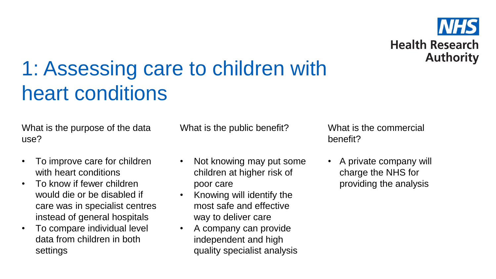

# 1: Assessing care to children with heart conditions

What is the purpose of the data use?

- To improve care for children with heart conditions
- To know if fewer children would die or be disabled if care was in specialist centres instead of general hospitals
- To compare individual level data from children in both settings

What is the public benefit?

- Not knowing may put some children at higher risk of poor care
- Knowing will identify the most safe and effective way to deliver care
- A company can provide independent and high quality specialist analysis

What is the commercial benefit?

• A private company will charge the NHS for providing the analysis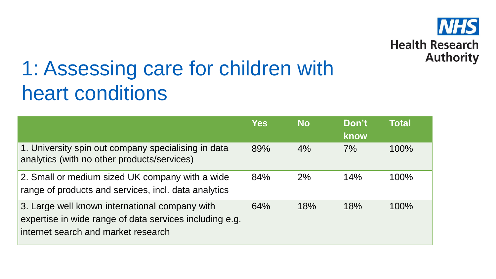

# 1: Assessing care for children with heart conditions

|                                                                                                                                                  | <b>Yes</b> | <b>No</b> | Don't<br>know | <b>Total</b> |
|--------------------------------------------------------------------------------------------------------------------------------------------------|------------|-----------|---------------|--------------|
| 1. University spin out company specialising in data<br>analytics (with no other products/services)                                               | 89%        | 4%        | 7%            | 100%         |
| 2. Small or medium sized UK company with a wide<br>range of products and services, incl. data analytics                                          | 84%        | 2%        | 14%           | 100%         |
| 3. Large well known international company with<br>expertise in wide range of data services including e.g.<br>internet search and market research | 64%        | 18%       | 18%           | 100%         |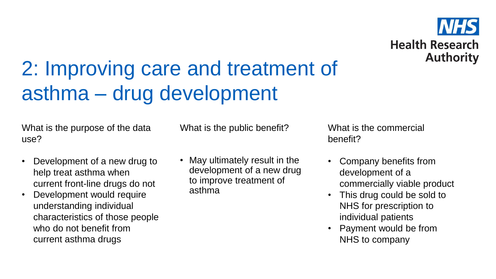

## 2: Improving care and treatment of asthma – drug development

What is the purpose of the data use?

- Development of a new drug to help treat asthma when current front-line drugs do not
- Development would require understanding individual characteristics of those people who do not benefit from current asthma drugs

What is the public benefit?

• May ultimately result in the development of a new drug to improve treatment of asthma

What is the commercial benefit?

- Company benefits from development of a commercially viable product
- This drug could be sold to NHS for prescription to individual patients
- Payment would be from NHS to company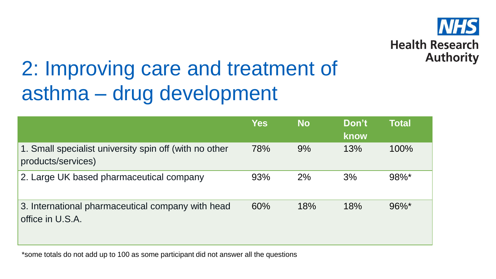

## 2: Improving care and treatment of asthma – drug development

|                                                                              | <b>Yes</b> | <b>No</b> | Don't<br>know | <b>Total</b> |
|------------------------------------------------------------------------------|------------|-----------|---------------|--------------|
| 1. Small specialist university spin off (with no other<br>products/services) | 78%        | 9%        | 13%           | 100%         |
| 2. Large UK based pharmaceutical company                                     | 93%        | 2%        | 3%            | 98%*         |
| 3. International pharmaceutical company with head<br>office in U.S.A.        | 60%        | 18%       | 18%           | $96\%$ *     |

\*some totals do not add up to 100 as some participant did not answer all the questions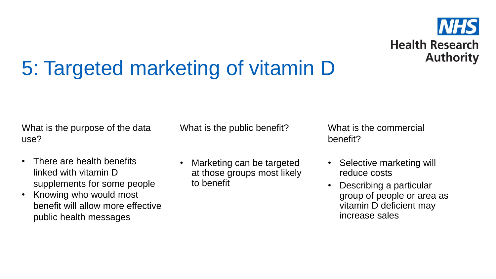

# 5: Targeted marketing of vitamin D

What is the purpose of the data use?

- There are health benefits linked with vitamin D supplements for some people
- Knowing who would most benefit will allow more effective public health messages

What is the public benefit?

• Marketing can be targeted at those groups most likely to benefit

What is the commercial benefit?

- Selective marketing will reduce costs
- Describing a particular group of people or area as vitamin D deficient may increase sales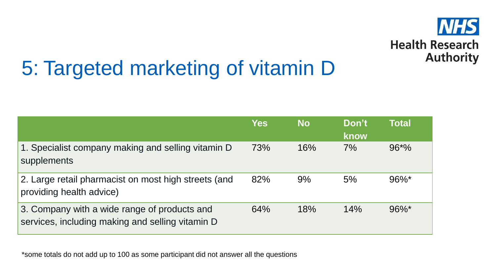

# 5: Targeted marketing of vitamin D

|                                                                                                  | <b>Yes</b> | <b>No</b> | Don't<br>know | <b>Total</b> |
|--------------------------------------------------------------------------------------------------|------------|-----------|---------------|--------------|
| 1. Specialist company making and selling vitamin D<br>supplements                                | 73%        | 16%       | 7%            | $96*%$       |
| 2. Large retail pharmacist on most high streets (and<br>providing health advice)                 | 82%        | 9%        | 5%            | $96\%$ *     |
| 3. Company with a wide range of products and<br>services, including making and selling vitamin D | 64%        | 18%       | 14%           | $96\%$ *     |

\*some totals do not add up to 100 as some participant did not answer all the questions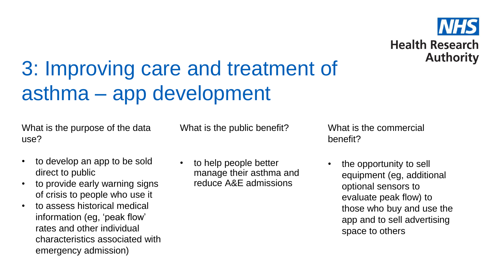

## 3: Improving care and treatment of asthma – app development

What is the purpose of the data use?

What is the public benefit?

- to develop an app to be sold direct to public
- to provide early warning signs of crisis to people who use it
- to assess historical medical information (eg, 'peak flow' rates and other individual characteristics associated with emergency admission)
- to help people better manage their asthma and reduce A&E admissions

What is the commercial benefit?

the opportunity to sell equipment (eg, additional optional sensors to evaluate peak flow) to those who buy and use the app and to sell advertising space to others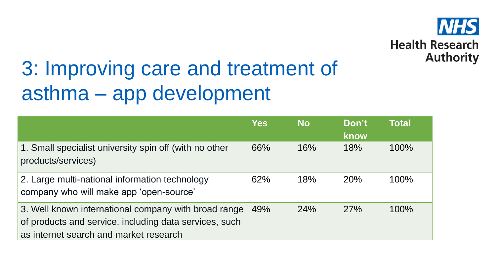

# 3: Improving care and treatment of asthma – app development

|                                                                                                                                                          | <b>Yes</b> | <b>No</b> | Don't<br>know | <b>Total</b> |
|----------------------------------------------------------------------------------------------------------------------------------------------------------|------------|-----------|---------------|--------------|
| 1. Small specialist university spin off (with no other<br>products/services)                                                                             | 66%        | 16%       | 18%           | 100%         |
| 2. Large multi-national information technology<br>company who will make app 'open-source'                                                                | 62%        | 18%       | 20%           | 100%         |
| 3. Well known international company with broad range<br>of products and service, including data services, such<br>as internet search and market research | 49%        | 24%       | 27%           | 100%         |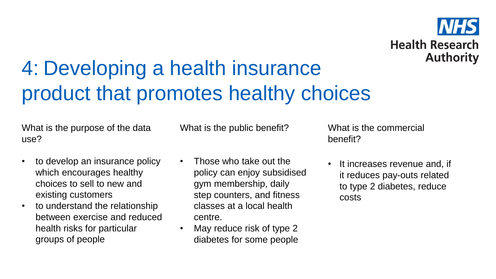# **Health Research Authority**

# 4: Developing a health insurance product that promotes healthy choices

What is the purpose of the data use?

• to develop an insurance policy which encourages healthy choices to sell to new and existing customers

• to understand the relationship between exercise and reduced health risks for particular groups of people

What is the public benefit?

- Those who take out the policy can enjoy subsidised gym membership, daily step counters, and fitness classes at a local health centre.
- May reduce risk of type 2 diabetes for some people

What is the commercial benefit?

• It increases revenue and, if it reduces pay-outs related to type 2 diabetes, reduce costs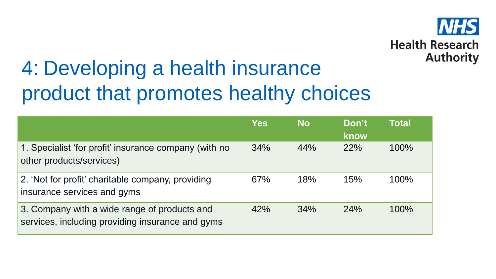

# 4: Developing a health insurance product that promotes healthy choices

|                                                                                                  | <b>Yes</b> | <b>No</b> | Don't<br>know | <b>Total</b> |
|--------------------------------------------------------------------------------------------------|------------|-----------|---------------|--------------|
| 1. Specialist 'for profit' insurance company (with no<br>other products/services)                | 34%        | 44%       | 22%           | 100%         |
| 2. 'Not for profit' charitable company, providing<br>insurance services and gyms                 | 67%        | 18%       | 15%           | 100%         |
| 3. Company with a wide range of products and<br>services, including providing insurance and gyms | 42%        | 34%       | 24%           | 100%         |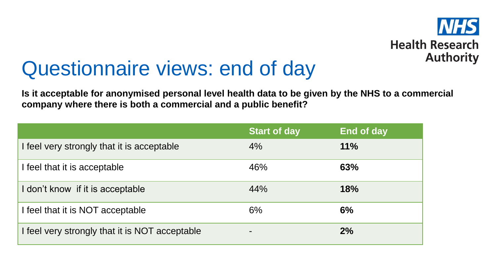

#### Questionnaire views: end of day

**Is it acceptable for anonymised personal level health data to be given by the NHS to a commercial company where there is both a commercial and a public benefit?**

|                                                | <b>Start of day</b> | <b>End of day</b> |
|------------------------------------------------|---------------------|-------------------|
| I feel very strongly that it is acceptable     | 4%                  | 11%               |
| I feel that it is acceptable                   | 46%                 | 63%               |
| I don't know if it is acceptable               | 44%                 | <b>18%</b>        |
| I feel that it is NOT acceptable               | 6%                  | 6%                |
| I feel very strongly that it is NOT acceptable |                     | 2%                |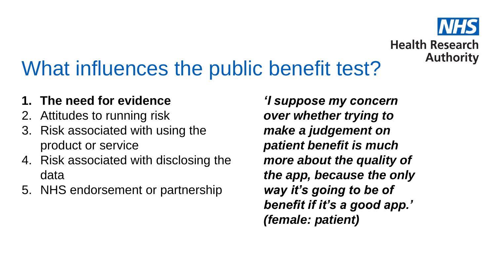# **Health Research Authority**

## What influences the public benefit test?

#### **1. The need for evidence**

- 2. Attitudes to running risk
- 3. Risk associated with using the product or service
- 4. Risk associated with disclosing the data
- 5. NHS endorsement or partnership

*'I suppose my concern over whether trying to make a judgement on patient benefit is much more about the quality of the app, because the only way it's going to be of benefit if it's a good app.' (female: patient)*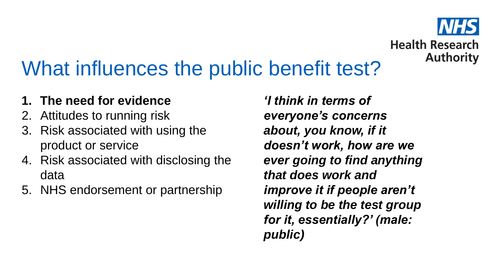

### What influences the public benefit test?

#### **1. The need for evidence**

- 2. Attitudes to running risk
- 3. Risk associated with using the product or service
- 4. Risk associated with disclosing the data
- 5. NHS endorsement or partnership

*'I think in terms of everyone's concerns about, you know, if it doesn't work, how are we ever going to find anything that does work and improve it if people aren't willing to be the test group for it, essentially?' (male: public)*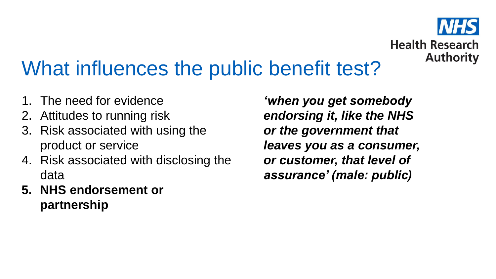# **Health Research Authority**

## What influences the public benefit test?

- 1. The need for evidence
- 2. Attitudes to running risk
- 3. Risk associated with using the product or service
- 4. Risk associated with disclosing the data
- **5. NHS endorsement or partnership**

*'when you get somebody endorsing it, like the NHS or the government that leaves you as a consumer, or customer, that level of assurance' (male: public)*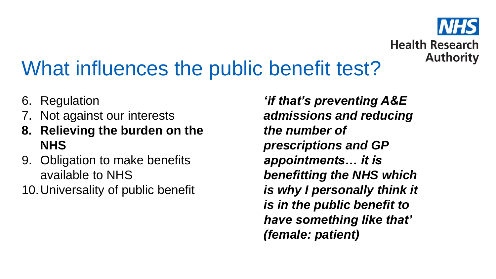# **Health Research Authority**

## What influences the public benefit test?

- 6. Regulation
- 7. Not against our interests
- **8. Relieving the burden on the NHS**
- 9. Obligation to make benefits available to NHS
- 10.Universality of public benefit

*'if that's preventing A&E admissions and reducing the number of prescriptions and GP appointments… it is benefitting the NHS which is why I personally think it is in the public benefit to have something like that' (female: patient)*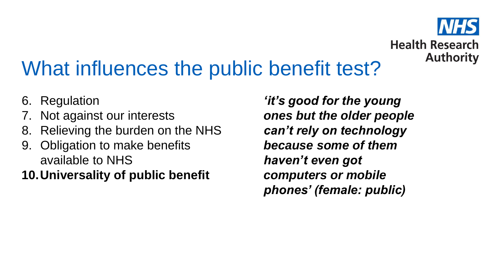

### What influences the public benefit test?

- 6. Regulation
- 7. Not against our interests
- 8. Relieving the burden on the NHS
- 9. Obligation to make benefits available to NHS
- **10.Universality of public benefit**

*'it's good for the young ones but the older people can't rely on technology because some of them haven't even got computers or mobile phones' (female: public)*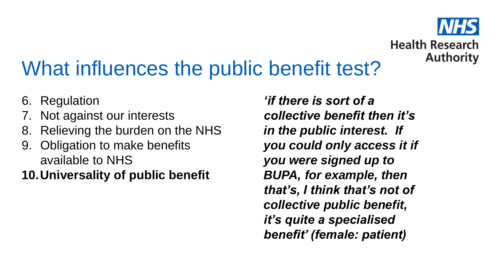

### What influences the public benefit test?

- 6. Regulation
- Not against our interests
- 8. Relieving the burden on the NHS
- 9. Obligation to make benefits available to NHS
- **10.Universality of public benefit**

*'if there is sort of a collective benefit then it's in the public interest. If you could only access it if you were signed up to BUPA, for example, then that's, I think that's not of collective public benefit, it's quite a specialised benefit' (female: patient)*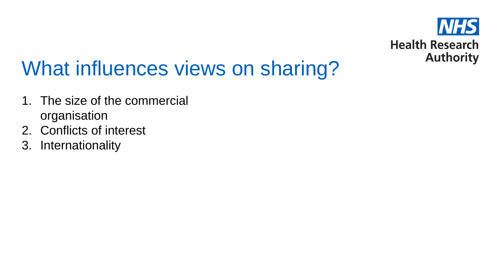

- 1. The size of the commercial organisation
- 2. Conflicts of interest
- 3. Internationality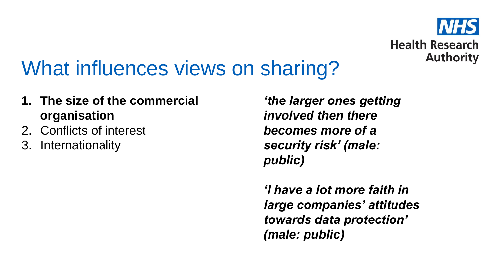

- **1. The size of the commercial organisation**
- 2. Conflicts of interest
- 3. Internationality

*'the larger ones getting involved then there becomes more of a security risk' (male: public)*

*'I have a lot more faith in large companies' attitudes towards data protection' (male: public)*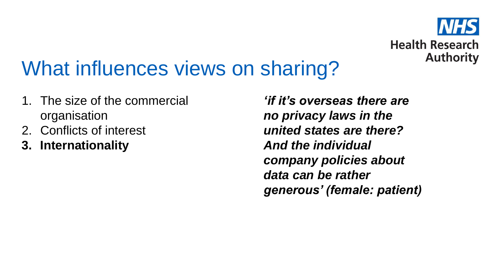

- 1. The size of the commercial organisation
- 2. Conflicts of interest
- **3. Internationality**

*'if it's overseas there are no privacy laws in the united states are there? And the individual company policies about data can be rather generous' (female: patient)*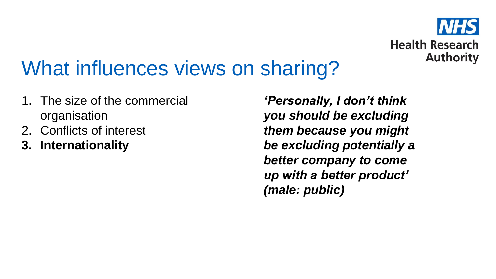

- 1. The size of the commercial organisation
- 2. Conflicts of interest
- **3. Internationality**

*'Personally, I don't think you should be excluding them because you might be excluding potentially a better company to come up with a better product' (male: public)*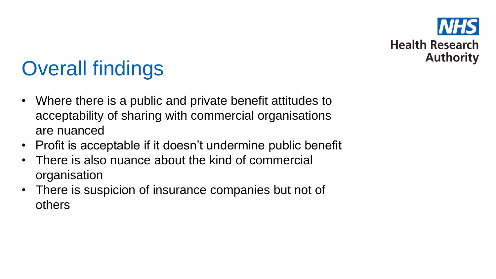

# Overall findings

- Where there is a public and private benefit attitudes to acceptability of sharing with commercial organisations are nuanced
- Profit is acceptable if it doesn't undermine public benefit
- There is also nuance about the kind of commercial organisation
- There is suspicion of insurance companies but not of others